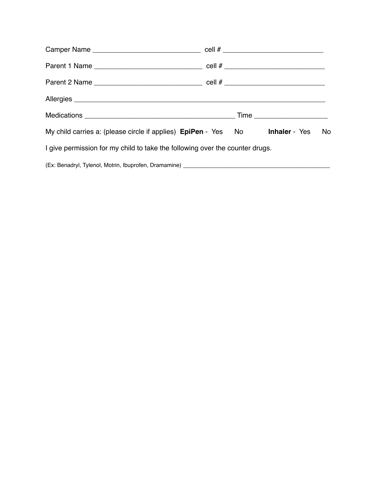| My child carries a: (please circle if applies) EpiPen - Yes No Inhaler - Yes No |  |  |  |  |  |
|---------------------------------------------------------------------------------|--|--|--|--|--|
| I give permission for my child to take the following over the counter drugs.    |  |  |  |  |  |
|                                                                                 |  |  |  |  |  |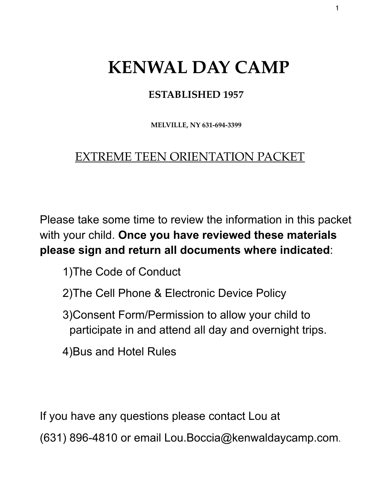## **ESTABLISHED 1957**

**MELVILLE, NY 631-694-3399** 

# EXTREME TEEN ORIENTATION PACKET

Please take some time to review the information in this packet with your child. **Once you have reviewed these materials please sign and return all documents where indicated**:

- 1)The Code of Conduct
- 2)The Cell Phone & Electronic Device Policy
- 3)Consent Form/Permission to allow your child to participate in and attend all day and overnight trips.
- 4)Bus and Hotel Rules

If you have any questions please contact Lou at

(631) 896-4810 or email Lou.Boccia@kenwaldaycamp.com.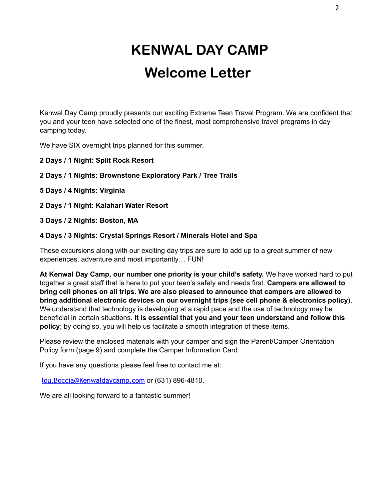# **KENWAL DAY CAMP Welcome Letter**

Kenwal Day Camp proudly presents our exciting Extreme Teen Travel Program. We are confident that you and your teen have selected one of the finest, most comprehensive travel programs in day camping today.

We have SIX overnight trips planned for this summer.

- **2 Days / 1 Night: Split Rock Resort**
- **2 Days / 1 Nights: Brownstone Exploratory Park / Tree Trails**
- **5 Days / 4 Nights: Virginia**
- **2 Days / 1 Night: Kalahari Water Resort**
- **3 Days / 2 Nights: Boston, MA**

#### **4 Days / 3 Nights: Crystal Springs Resort / Minerals Hotel and Spa**

These excursions along with our exciting day trips are sure to add up to a great summer of new experiences, adventure and most importantly… FUN!

**At Kenwal Day Camp, our number one priority is your child's safety.** We have worked hard to put together a great staff that is here to put your teen's safety and needs first. **Campers are allowed to bring cell phones on all trips. We are also pleased to announce that campers are allowed to bring additional electronic devices on our overnight trips (see cell phone & electronics policy)**. We understand that technology is developing at a rapid pace and the use of technology may be beneficial in certain situations. **It is essential that you and your teen understand and follow this policy**; by doing so, you will help us facilitate a smooth integration of these items.

Please review the enclosed materials with your camper and sign the Parent/Camper Orientation Policy form (page 9) and complete the Camper Information Card.

If you have any questions please feel free to contact me at:

[lou.Boccia@Kenwaldaycamp.com](mailto:lou.Boccia@kenwaldaycamp.com) or (631) 896-4810.

We are all looking forward to a fantastic summer!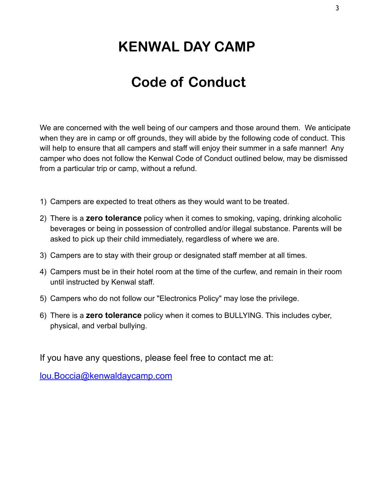# **Code of Conduct**

We are concerned with the well being of our campers and those around them. We anticipate when they are in camp or off grounds, they will abide by the following code of conduct. This will help to ensure that all campers and staff will enjoy their summer in a safe manner! Any camper who does not follow the Kenwal Code of Conduct outlined below, may be dismissed from a particular trip or camp, without a refund.

- 1) Campers are expected to treat others as they would want to be treated.
- 2) There is a **zero tolerance** policy when it comes to smoking, vaping, drinking alcoholic beverages or being in possession of controlled and/or illegal substance. Parents will be asked to pick up their child immediately, regardless of where we are.
- 3) Campers are to stay with their group or designated staff member at all times.
- 4) Campers must be in their hotel room at the time of the curfew, and remain in their room until instructed by Kenwal staff.
- 5) Campers who do not follow our "Electronics Policy" may lose the privilege.
- 6) There is a **zero tolerance** policy when it comes to BULLYING. This includes cyber, physical, and verbal bullying.

If you have any questions, please feel free to contact me at:

[lou.Boccia@kenwaldaycamp.com](mailto:lou.Boccia@kenwaldaycamp.com)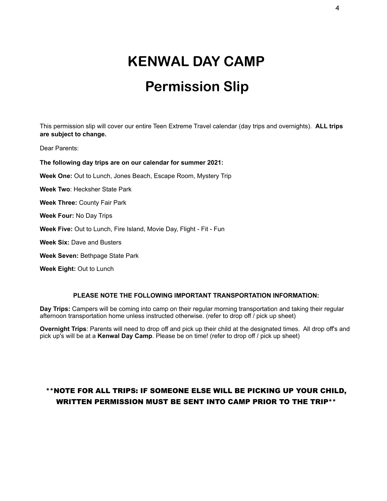# **Permission Slip**

This permission slip will cover our entire Teen Extreme Travel calendar (day trips and overnights). **ALL trips are subject to change.** 

Dear Parents:

**The following day trips are on our calendar for summer 2021: Week One:** Out to Lunch, Jones Beach, Escape Room, Mystery Trip **Week Two**: Hecksher State Park **Week Three:** County Fair Park **Week Four:** No Day Trips **Week Five:** Out to Lunch, Fire Island, Movie Day, Flight - Fit - Fun **Week Six:** Dave and Busters **Week Seven:** Bethpage State Park

**Week Eight:** Out to Lunch

#### **PLEASE NOTE THE FOLLOWING IMPORTANT TRANSPORTATION INFORMATION:**

**Day Trips:** Campers will be coming into camp on their regular morning transportation and taking their regular afternoon transportation home unless instructed otherwise. (refer to drop off / pick up sheet)

**Overnight Trips**: Parents will need to drop off and pick up their child at the designated times. All drop off's and pick up's will be at a **Kenwal Day Camp**. Please be on time! (refer to drop off / pick up sheet)

#### \*\*NOTE FOR ALL TRIPS: IF SOMEONE ELSE WILL BE PICKING UP YOUR CHILD, WRITTEN PERMISSION MUST BE SENT INTO CAMP PRIOR TO THE TRIP\*\*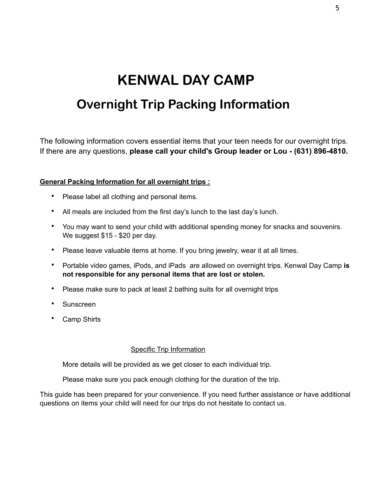# **KENWAL DAY CAMP Overnight Trip Packing Information**

The following information covers essential items that your teen needs for our overnight trips. If there are any questions, **please call your child's Group leader or Lou - (631) 896-4810.** 

#### **General Packing Information for all overnight trips :**

- Please label all clothing and personal items.
- All meals are included from the first day's lunch to the last day's lunch.
- You may want to send your child with additional spending money for snacks and souvenirs. We suggest \$15 - \$20 per day.
- Please leave valuable items at home. If you bring jewelry, wear it at all times.
- Portable video games, iPods, and iPads are allowed on overnight trips. Kenwal Day Camp **is not responsible for any personal items that are lost or stolen.**
- Please make sure to pack at least 2 bathing suits for all overnight trips
- Sunscreen
- Camp Shirts

#### Specific Trip Information

More details will be provided as we get closer to each individual trip.

Please make sure you pack enough clothing for the duration of the trip.

This guide has been prepared for your convenience. If you need further assistance or have additional questions on items your child will need for our trips do not hesitate to contact us.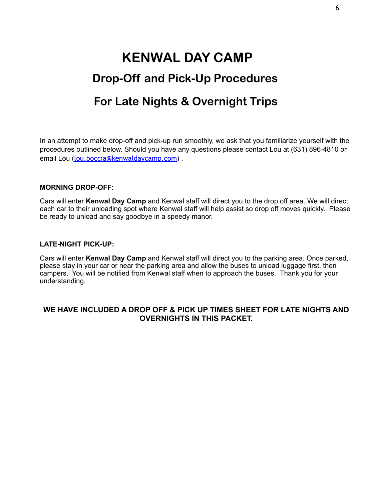# **KENWAL DAY CAMP Drop-Off and Pick-Up Procedures For Late Nights & Overnight Trips**

In an attempt to make drop-off and pick-up run smoothly, we ask that you familiarize yourself with the procedures outlined below. Should you have any questions please contact Lou at (631) 896-4810 or email Lou ([lou.boccia@kenwaldaycamp.com](mailto:lou.boccia@kenwaldaycamp.com)).

#### **MORNING DROP-OFF:**

Cars will enter **Kenwal Day Camp** and Kenwal staff will direct you to the drop off area. We will direct each car to their unloading spot where Kenwal staff will help assist so drop off moves quickly. Please be ready to unload and say goodbye in a speedy manor.

#### **LATE-NIGHT PICK-UP:**

Cars will enter **Kenwal Day Camp** and Kenwal staff will direct you to the parking area. Once parked, please stay in your car or near the parking area and allow the buses to unload luggage first, then campers. You will be notified from Kenwal staff when to approach the buses. Thank you for your understanding.

#### **WE HAVE INCLUDED A DROP OFF & PICK UP TIMES SHEET FOR LATE NIGHTS AND OVERNIGHTS IN THIS PACKET.**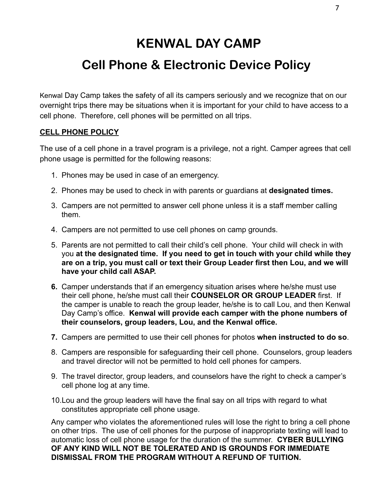## **Cell Phone & Electronic Device Policy**

Kenwal Day Camp takes the safety of all its campers seriously and we recognize that on our overnight trips there may be situations when it is important for your child to have access to a cell phone. Therefore, cell phones will be permitted on all trips.

#### **CELL PHONE POLICY**

The use of a cell phone in a travel program is a privilege, not a right. Camper agrees that cell phone usage is permitted for the following reasons:

- 1. Phones may be used in case of an emergency.
- 2. Phones may be used to check in with parents or guardians at **designated times.**
- 3. Campers are not permitted to answer cell phone unless it is a staff member calling them.
- 4. Campers are not permitted to use cell phones on camp grounds.
- 5. Parents are not permitted to call their child's cell phone. Your child will check in with you **at the designated time. If you need to get in touch with your child while they are on a trip, you must call or text their Group Leader first then Lou, and we will have your child call ASAP.**
- **6.** Camper understands that if an emergency situation arises where he/she must use their cell phone, he/she must call their **COUNSELOR OR GROUP LEADER** first. If the camper is unable to reach the group leader, he/she is to call Lou, and then Kenwal Day Camp's office. **Kenwal will provide each camper with the phone numbers of their counselors, group leaders, Lou, and the Kenwal office.**
- **7.** Campers are permitted to use their cell phones for photos **when instructed to do so**.
- 8. Campers are responsible for safeguarding their cell phone. Counselors, group leaders and travel director will not be permitted to hold cell phones for campers.
- 9. The travel director, group leaders, and counselors have the right to check a camper's cell phone log at any time.
- 10.Lou and the group leaders will have the final say on all trips with regard to what constitutes appropriate cell phone usage.

Any camper who violates the aforementioned rules will lose the right to bring a cell phone on other trips. The use of cell phones for the purpose of inappropriate texting will lead to automatic loss of cell phone usage for the duration of the summer. **CYBER BULLYING OF ANY KIND WILL NOT BE TOLERATED AND IS GROUNDS FOR IMMEDIATE DISMISSAL FROM THE PROGRAM WITHOUT A REFUND OF TUITION.**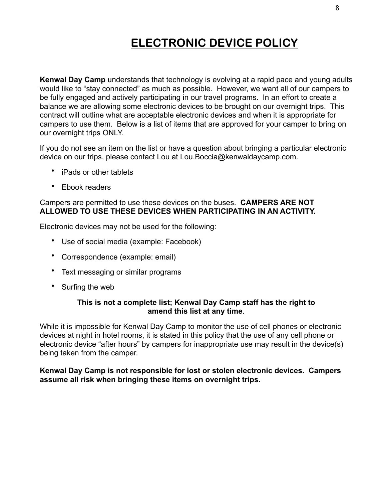## **ELECTRONIC DEVICE POLICY**

**Kenwal Day Camp** understands that technology is evolving at a rapid pace and young adults would like to "stay connected" as much as possible. However, we want all of our campers to be fully engaged and actively participating in our travel programs. In an effort to create a balance we are allowing some electronic devices to be brought on our overnight trips. This contract will outline what are acceptable electronic devices and when it is appropriate for campers to use them. Below is a list of items that are approved for your camper to bring on our overnight trips ONLY.

If you do not see an item on the list or have a question about bringing a particular electronic device on our trips, please contact Lou at Lou.Boccia@kenwaldaycamp.com.

- iPads or other tablets
- Ebook readers

#### Campers are permitted to use these devices on the buses. **CAMPERS ARE NOT ALLOWED TO USE THESE DEVICES WHEN PARTICIPATING IN AN ACTIVITY.**

Electronic devices may not be used for the following:

- Use of social media (example: Facebook)
- Correspondence (example: email)
- Text messaging or similar programs
- Surfing the web

#### **This is not a complete list; Kenwal Day Camp staff has the right to amend this list at any time**.

While it is impossible for Kenwal Day Camp to monitor the use of cell phones or electronic devices at night in hotel rooms, it is stated in this policy that the use of any cell phone or electronic device "after hours" by campers for inappropriate use may result in the device(s) being taken from the camper.

#### **Kenwal Day Camp is not responsible for lost or stolen electronic devices. Campers assume all risk when bringing these items on overnight trips.**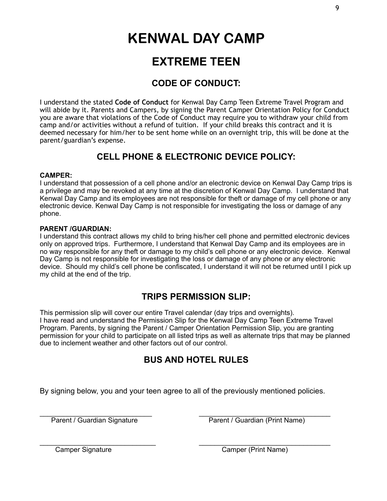## **EXTREME TEEN**

### **CODE OF CONDUCT:**

I understand the stated **Code of Conduct** for Kenwal Day Camp Teen Extreme Travel Program and will abide by it. Parents and Campers, by signing the Parent Camper Orientation Policy for Conduct you are aware that violations of the Code of Conduct may require you to withdraw your child from camp and/or activities without a refund of tuition. If your child breaks this contract and it is deemed necessary for him/her to be sent home while on an overnight trip, this will be done at the parent/guardian's expense.

### **CELL PHONE & ELECTRONIC DEVICE POLICY:**

#### **CAMPER:**

I understand that possession of a cell phone and/or an electronic device on Kenwal Day Camp trips is a privilege and may be revoked at any time at the discretion of Kenwal Day Camp. I understand that Kenwal Day Camp and its employees are not responsible for theft or damage of my cell phone or any electronic device. Kenwal Day Camp is not responsible for investigating the loss or damage of any phone.

#### **PARENT /GUARDIAN:**

I understand this contract allows my child to bring his/her cell phone and permitted electronic devices only on approved trips. Furthermore, I understand that Kenwal Day Camp and its employees are in no way responsible for any theft or damage to my child's cell phone or any electronic device. Kenwal Day Camp is not responsible for investigating the loss or damage of any phone or any electronic device. Should my child's cell phone be confiscated, I understand it will not be returned until I pick up my child at the end of the trip.

### **TRIPS PERMISSION SLIP:**

This permission slip will cover our entire Travel calendar (day trips and overnights). I have read and understand the Permission Slip for the Kenwal Day Camp Teen Extreme Travel Program. Parents, by signing the Parent / Camper Orientation Permission Slip, you are granting permission for your child to participate on all listed trips as well as alternate trips that may be planned due to inclement weather and other factors out of our control.

### **BUS AND HOTEL RULES**

By signing below, you and your teen agree to all of the previously mentioned policies.

\_\_\_\_\_\_\_\_\_\_\_\_\_\_\_\_\_\_\_\_\_\_\_\_\_\_\_\_\_ \_\_\_\_\_\_\_\_\_\_\_\_\_\_\_\_\_\_\_\_\_\_\_\_\_\_\_\_\_\_\_\_\_\_ Parent / Guardian Signature **Parent / Guardian (Print Name)** 

 $\overline{\phantom{a}}$  , and the contribution of the contribution of the contribution of the contribution of the contribution of the contribution of the contribution of the contribution of the contribution of the contribution of the Camper Signature Camper (Print Name)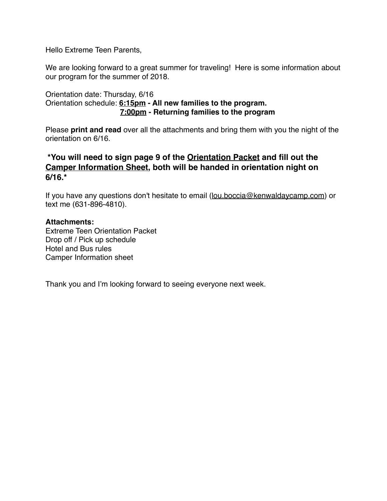Hello Extreme Teen Parents,

We are looking forward to a great summer for traveling! Here is some information about our program for the summer of 2018.

#### Orientation date: Thursday, 6/16 Orientation schedule: **6:15pm - All new families to the program. 7:00pm - Returning families to the program**

Please **print and read** over all the attachments and bring them with you the night of the orientation on 6/16.

#### **\*You will need to sign page 9 of the Orientation Packet and fill out the Camper Information Sheet, both will be handed in orientation night on 6/16.\***

If you have any questions don't hesitate to email [\(lou.boccia@kenwaldaycamp.com](mailto:lou.boccia@kenwaldaycamp.com)) or text me (631-896-4810).

#### **Attachments:**

Extreme Teen Orientation Packet Drop off / Pick up schedule Hotel and Bus rules Camper Information sheet

Thank you and I'm looking forward to seeing everyone next week.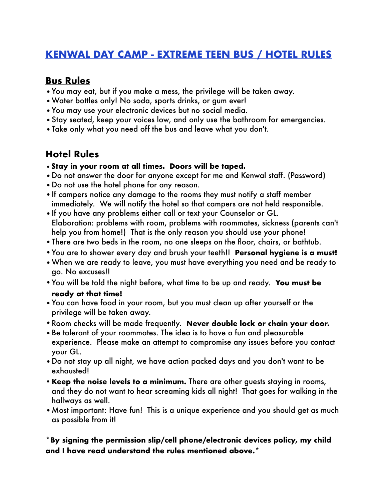## **KENWAL DAY CAMP - EXTREME TEEN BUS / HOTEL RULES**

## **Bus Rules**

- •You may eat, but if you make a mess, the privilege will be taken away.
- •Water bottles only! No soda, sports drinks, or gum ever!
- •You may use your electronic devices but no social media.
- •Stay seated, keep your voices low, and only use the bathroom for emergencies.
- •Take only what you need off the bus and leave what you don't.

## **Hotel Rules**

- **•Stay in your room at all times. Doors will be taped.**
- •Do not answer the door for anyone except for me and Kenwal staff. (Password)
- •Do not use the hotel phone for any reason.
- •If campers notice any damage to the rooms they must notify a staff member immediately. We will notify the hotel so that campers are not held responsible.
- •If you have any problems either call or text your Counselor or GL. Elaboration: problems with room, problems with roommates, sickness (parents can't help you from home!) That is the only reason you should use your phone!
- •There are two beds in the room, no one sleeps on the floor, chairs, or bathtub.
- •You are to shower every day and brush your teeth!! **Personal hygiene is a must!**
- •When we are ready to leave, you must have everything you need and be ready to go. No excuses!!
- •You will be told the night before, what time to be up and ready. **You must be ready at that time!**
- •You can have food in your room, but you must clean up after yourself or the privilege will be taken away.
- •Room checks will be made frequently. **Never double lock or chain your door.**
- •Be tolerant of your roommates. The idea is to have a fun and pleasurable experience. Please make an attempt to compromise any issues before you contact your GL.
- •Do not stay up all night, we have action packed days and you don't want to be exhausted!
- •**Keep the noise levels to a minimum.** There are other guests staying in rooms, and they do not want to hear screaming kids all night! That goes for walking in the hallways as well.
- •Most important: Have fun! This is a unique experience and you should get as much as possible from it!

#### **\*By signing the permission slip/cell phone/electronic devices policy, my child and I have read understand the rules mentioned above.\***